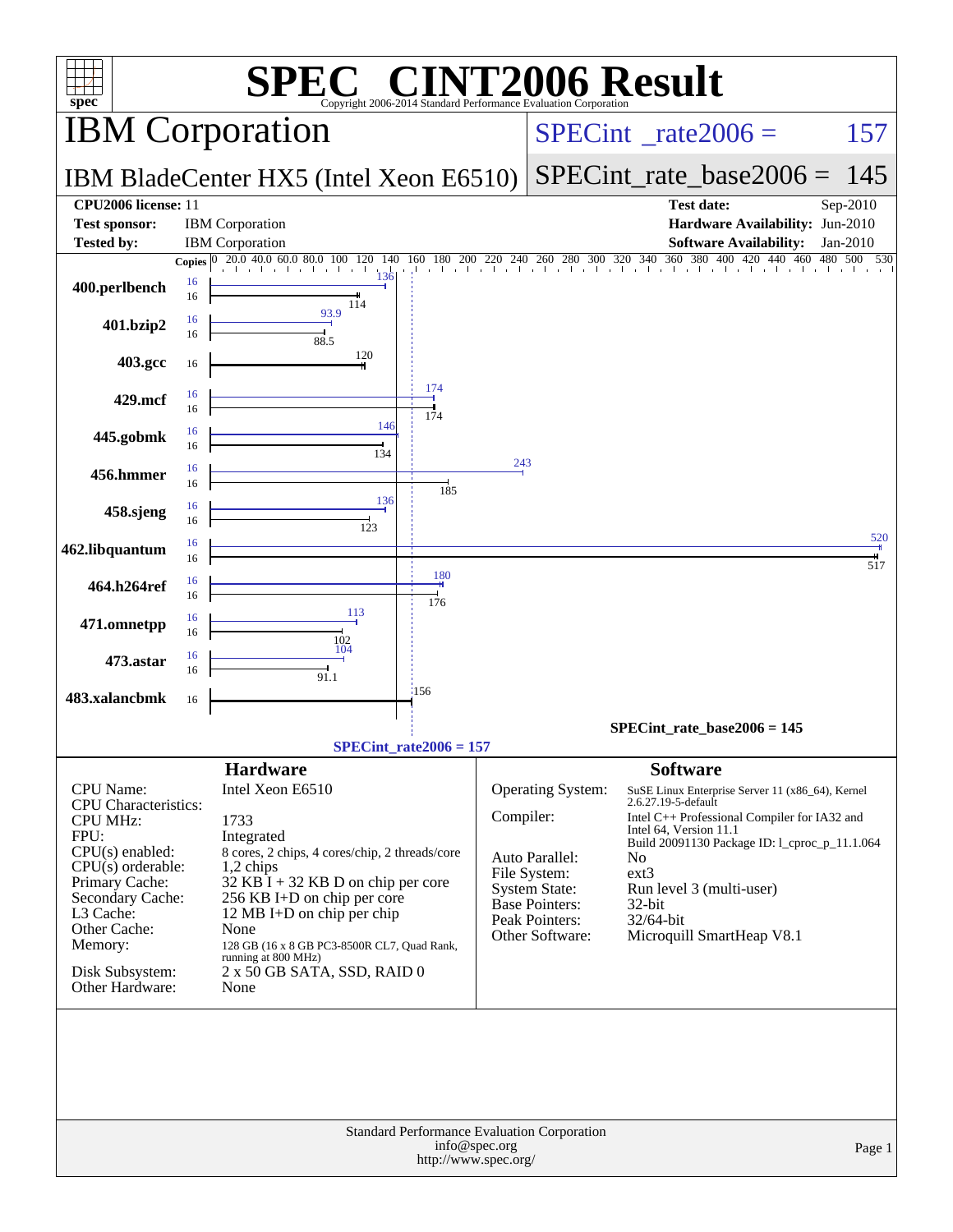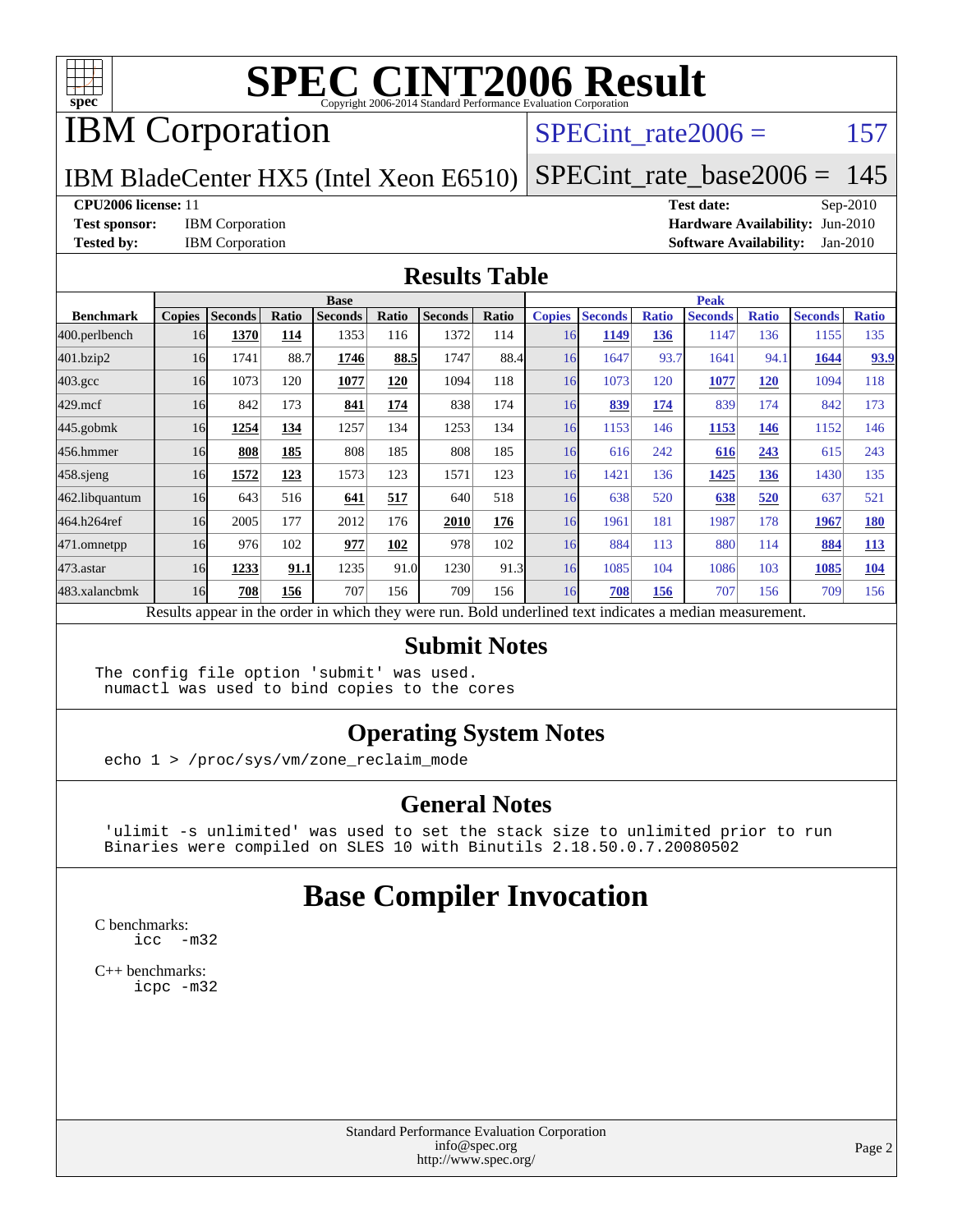

## IBM Corporation

### SPECint rate $2006 = 157$

#### IBM BladeCenter HX5 (Intel Xeon E6510) [SPECint\\_rate\\_base2006 =](http://www.spec.org/auto/cpu2006/Docs/result-fields.html#SPECintratebase2006) 145

#### **[CPU2006 license:](http://www.spec.org/auto/cpu2006/Docs/result-fields.html#CPU2006license)** 11 **[Test date:](http://www.spec.org/auto/cpu2006/Docs/result-fields.html#Testdate)** Sep-2010

**[Test sponsor:](http://www.spec.org/auto/cpu2006/Docs/result-fields.html#Testsponsor)** IBM Corporation **[Hardware Availability:](http://www.spec.org/auto/cpu2006/Docs/result-fields.html#HardwareAvailability)** Jun-2010 **[Tested by:](http://www.spec.org/auto/cpu2006/Docs/result-fields.html#Testedby)** IBM Corporation **[Software Availability:](http://www.spec.org/auto/cpu2006/Docs/result-fields.html#SoftwareAvailability)** Jan-2010

#### **[Results Table](http://www.spec.org/auto/cpu2006/Docs/result-fields.html#ResultsTable)**

|                  | <b>Base</b>   |                |       |                |       |                |       | <b>Peak</b>   |                |              |                                                                                                          |              |                |              |
|------------------|---------------|----------------|-------|----------------|-------|----------------|-------|---------------|----------------|--------------|----------------------------------------------------------------------------------------------------------|--------------|----------------|--------------|
| <b>Benchmark</b> | <b>Copies</b> | <b>Seconds</b> | Ratio | <b>Seconds</b> | Ratio | <b>Seconds</b> | Ratio | <b>Copies</b> | <b>Seconds</b> | <b>Ratio</b> | <b>Seconds</b>                                                                                           | <b>Ratio</b> | <b>Seconds</b> | <b>Ratio</b> |
| 400.perlbench    | 16            | 1370           | 114   | 1353           | 116   | 1372           | 114   | 16            | 1149           | 136          | 1147                                                                                                     | 136          | 1155           | 135          |
| 401.bzip2        | 16            | 1741           | 88.7  | 1746           | 88.5  | 1747           | 88.4  | 16            | 1647           | 93.7         | 1641                                                                                                     | 94.1         | 1644           | 93.9         |
| $403.\text{gcc}$ | 16            | 1073           | 120   | 1077           | 120   | 1094           | 118   | 16            | 1073           | 120          | 1077                                                                                                     | <b>120</b>   | 1094           | 118          |
| $429$ .mcf       | 16            | 842            | 173   | 841            | 174   | 838            | 174   | 16            | 839            | 174          | 839                                                                                                      | 174          | 842            | 173          |
| $445$ .gobmk     | 16            | 1254           | 134   | 1257           | 134   | 1253           | 134   | 16            | 1153           | 146          | 1153                                                                                                     | 146          | 1152           | 146          |
| 456.hmmer        | 16            | 808            | 185   | 808            | 185   | 808            | 185   | 16            | 616            | 242          | 616                                                                                                      | 243          | 615            | 243          |
| $458$ .sjeng     | 16            | 1572           | 123   | 1573           | 123   | 1571           | 123   | 16            | 1421           | 136          | 1425                                                                                                     | 136          | 1430           | 135          |
| 462.libquantum   | 16            | 643            | 516   | 641            | 517   | 640            | 518   | 16            | 638            | 520          | 638                                                                                                      | 520          | 637            | 521          |
| 464.h264ref      | 16            | 2005           | 177   | 2012           | 176   | 2010           | 176   | 16            | 1961           | 181          | 1987                                                                                                     | 178          | 1967           | <b>180</b>   |
| 471.omnetpp      | 16            | 976            | 102   | 977            | 102   | 978            | 102   | 16            | 884            | 113          | 880                                                                                                      | 114          | 884            | <b>113</b>   |
| $473$ . astar    | 16            | 1233           | 91.1  | 1235           | 91.0  | 1230           | 91.3  | 16            | 1085           | 104          | 1086                                                                                                     | 103          | 1085           | 104          |
| 483.xalancbmk    | 16            | 708            | 156   | 707            | 156   | 709            | 156   | 16            | 708            | 156          | 707                                                                                                      | 156          | 709            | 156          |
|                  |               |                |       |                |       |                |       |               |                |              | Results appear in the order in which they were run. Bold underlined text indicates a median measurement. |              |                |              |

#### **[Submit Notes](http://www.spec.org/auto/cpu2006/Docs/result-fields.html#SubmitNotes)**

The config file option 'submit' was used. numactl was used to bind copies to the cores

### **[Operating System Notes](http://www.spec.org/auto/cpu2006/Docs/result-fields.html#OperatingSystemNotes)**

echo 1 > /proc/sys/vm/zone\_reclaim\_mode

### **[General Notes](http://www.spec.org/auto/cpu2006/Docs/result-fields.html#GeneralNotes)**

 'ulimit -s unlimited' was used to set the stack size to unlimited prior to run Binaries were compiled on SLES 10 with Binutils 2.18.50.0.7.20080502

## **[Base Compiler Invocation](http://www.spec.org/auto/cpu2006/Docs/result-fields.html#BaseCompilerInvocation)**

[C benchmarks](http://www.spec.org/auto/cpu2006/Docs/result-fields.html#Cbenchmarks): [icc -m32](http://www.spec.org/cpu2006/results/res2010q3/cpu2006-20100914-13293.flags.html#user_CCbase_intel_icc_32bit_5ff4a39e364c98233615fdd38438c6f2)

[C++ benchmarks:](http://www.spec.org/auto/cpu2006/Docs/result-fields.html#CXXbenchmarks) [icpc -m32](http://www.spec.org/cpu2006/results/res2010q3/cpu2006-20100914-13293.flags.html#user_CXXbase_intel_icpc_32bit_4e5a5ef1a53fd332b3c49e69c3330699)

> Standard Performance Evaluation Corporation [info@spec.org](mailto:info@spec.org) <http://www.spec.org/>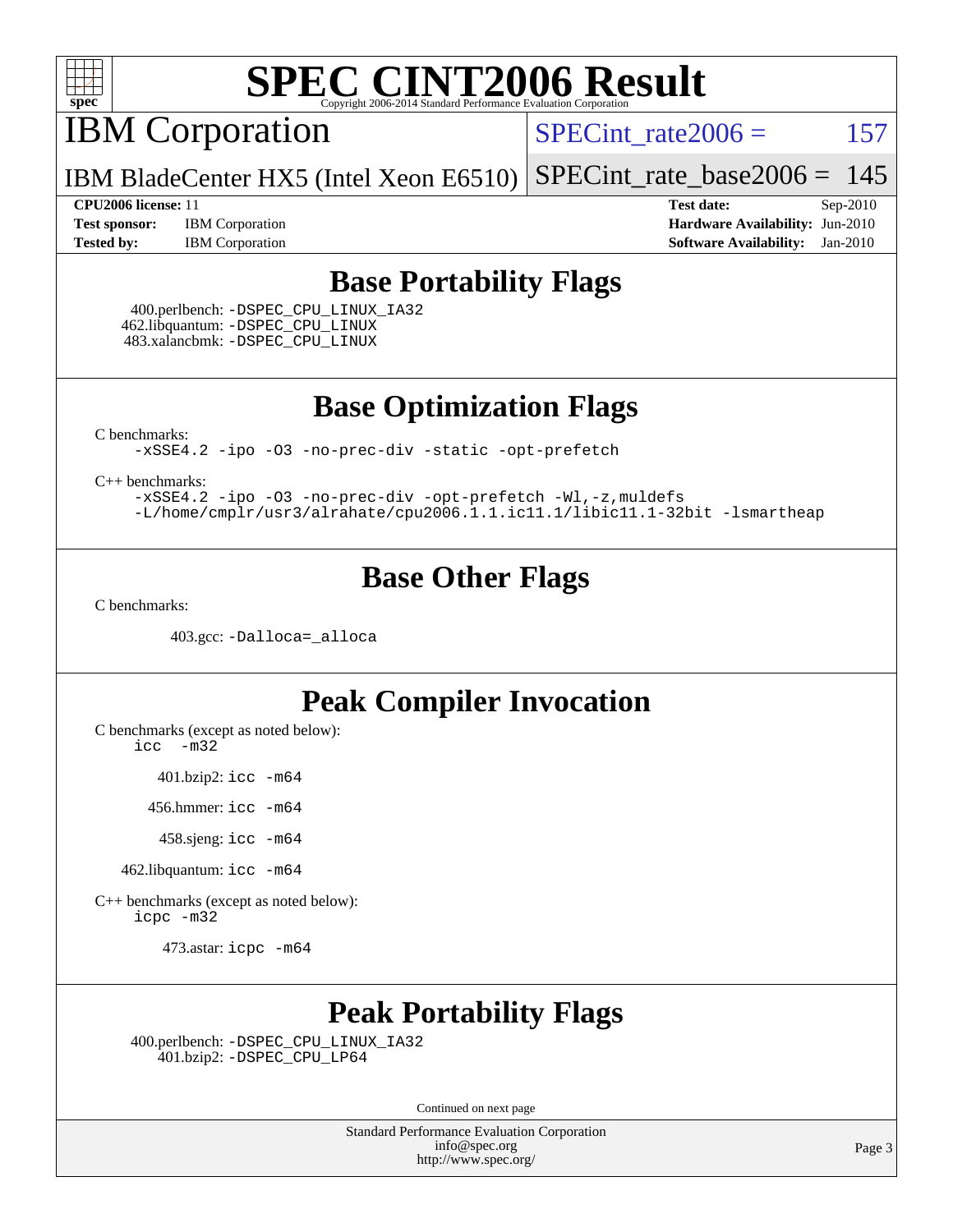

IBM Corporation

SPECint rate $2006 = 157$ 

IBM BladeCenter HX5 (Intel Xeon E6510) [SPECint\\_rate\\_base2006 =](http://www.spec.org/auto/cpu2006/Docs/result-fields.html#SPECintratebase2006)  $145$ 

**[Test sponsor:](http://www.spec.org/auto/cpu2006/Docs/result-fields.html#Testsponsor)** IBM Corporation **[Hardware Availability:](http://www.spec.org/auto/cpu2006/Docs/result-fields.html#HardwareAvailability)** Jun-2010 **[Tested by:](http://www.spec.org/auto/cpu2006/Docs/result-fields.html#Testedby)** IBM Corporation **[Software Availability:](http://www.spec.org/auto/cpu2006/Docs/result-fields.html#SoftwareAvailability)** Jan-2010

**[CPU2006 license:](http://www.spec.org/auto/cpu2006/Docs/result-fields.html#CPU2006license)** 11 **[Test date:](http://www.spec.org/auto/cpu2006/Docs/result-fields.html#Testdate)** Sep-2010

### **[Base Portability Flags](http://www.spec.org/auto/cpu2006/Docs/result-fields.html#BasePortabilityFlags)**

 400.perlbench: [-DSPEC\\_CPU\\_LINUX\\_IA32](http://www.spec.org/cpu2006/results/res2010q3/cpu2006-20100914-13293.flags.html#b400.perlbench_baseCPORTABILITY_DSPEC_CPU_LINUX_IA32) 462.libquantum: [-DSPEC\\_CPU\\_LINUX](http://www.spec.org/cpu2006/results/res2010q3/cpu2006-20100914-13293.flags.html#b462.libquantum_baseCPORTABILITY_DSPEC_CPU_LINUX) 483.xalancbmk: [-DSPEC\\_CPU\\_LINUX](http://www.spec.org/cpu2006/results/res2010q3/cpu2006-20100914-13293.flags.html#b483.xalancbmk_baseCXXPORTABILITY_DSPEC_CPU_LINUX)

**[Base Optimization Flags](http://www.spec.org/auto/cpu2006/Docs/result-fields.html#BaseOptimizationFlags)**

[C benchmarks](http://www.spec.org/auto/cpu2006/Docs/result-fields.html#Cbenchmarks):

[-xSSE4.2](http://www.spec.org/cpu2006/results/res2010q3/cpu2006-20100914-13293.flags.html#user_CCbase_f-xSSE42_f91528193cf0b216347adb8b939d4107) [-ipo](http://www.spec.org/cpu2006/results/res2010q3/cpu2006-20100914-13293.flags.html#user_CCbase_f-ipo) [-O3](http://www.spec.org/cpu2006/results/res2010q3/cpu2006-20100914-13293.flags.html#user_CCbase_f-O3) [-no-prec-div](http://www.spec.org/cpu2006/results/res2010q3/cpu2006-20100914-13293.flags.html#user_CCbase_f-no-prec-div) [-static](http://www.spec.org/cpu2006/results/res2010q3/cpu2006-20100914-13293.flags.html#user_CCbase_f-static) [-opt-prefetch](http://www.spec.org/cpu2006/results/res2010q3/cpu2006-20100914-13293.flags.html#user_CCbase_f-opt-prefetch)

[C++ benchmarks:](http://www.spec.org/auto/cpu2006/Docs/result-fields.html#CXXbenchmarks)

[-xSSE4.2](http://www.spec.org/cpu2006/results/res2010q3/cpu2006-20100914-13293.flags.html#user_CXXbase_f-xSSE42_f91528193cf0b216347adb8b939d4107) [-ipo](http://www.spec.org/cpu2006/results/res2010q3/cpu2006-20100914-13293.flags.html#user_CXXbase_f-ipo) [-O3](http://www.spec.org/cpu2006/results/res2010q3/cpu2006-20100914-13293.flags.html#user_CXXbase_f-O3) [-no-prec-div](http://www.spec.org/cpu2006/results/res2010q3/cpu2006-20100914-13293.flags.html#user_CXXbase_f-no-prec-div) [-opt-prefetch](http://www.spec.org/cpu2006/results/res2010q3/cpu2006-20100914-13293.flags.html#user_CXXbase_f-opt-prefetch) [-Wl,-z,muldefs](http://www.spec.org/cpu2006/results/res2010q3/cpu2006-20100914-13293.flags.html#user_CXXbase_link_force_multiple1_74079c344b956b9658436fd1b6dd3a8a) [-L/home/cmplr/usr3/alrahate/cpu2006.1.1.ic11.1/libic11.1-32bit -lsmartheap](http://www.spec.org/cpu2006/results/res2010q3/cpu2006-20100914-13293.flags.html#user_CXXbase_SmartHeap_d86dffe4a79b79ef8890d5cce17030c3)

## **[Base Other Flags](http://www.spec.org/auto/cpu2006/Docs/result-fields.html#BaseOtherFlags)**

[C benchmarks](http://www.spec.org/auto/cpu2006/Docs/result-fields.html#Cbenchmarks):

403.gcc: [-Dalloca=\\_alloca](http://www.spec.org/cpu2006/results/res2010q3/cpu2006-20100914-13293.flags.html#b403.gcc_baseEXTRA_CFLAGS_Dalloca_be3056838c12de2578596ca5467af7f3)

## **[Peak Compiler Invocation](http://www.spec.org/auto/cpu2006/Docs/result-fields.html#PeakCompilerInvocation)**

[C benchmarks \(except as noted below\)](http://www.spec.org/auto/cpu2006/Docs/result-fields.html#Cbenchmarksexceptasnotedbelow):

[icc -m32](http://www.spec.org/cpu2006/results/res2010q3/cpu2006-20100914-13293.flags.html#user_CCpeak_intel_icc_32bit_5ff4a39e364c98233615fdd38438c6f2)

401.bzip2: [icc -m64](http://www.spec.org/cpu2006/results/res2010q3/cpu2006-20100914-13293.flags.html#user_peakCCLD401_bzip2_intel_icc_64bit_bda6cc9af1fdbb0edc3795bac97ada53)

456.hmmer: [icc -m64](http://www.spec.org/cpu2006/results/res2010q3/cpu2006-20100914-13293.flags.html#user_peakCCLD456_hmmer_intel_icc_64bit_bda6cc9af1fdbb0edc3795bac97ada53)

458.sjeng: [icc -m64](http://www.spec.org/cpu2006/results/res2010q3/cpu2006-20100914-13293.flags.html#user_peakCCLD458_sjeng_intel_icc_64bit_bda6cc9af1fdbb0edc3795bac97ada53)

462.libquantum: [icc -m64](http://www.spec.org/cpu2006/results/res2010q3/cpu2006-20100914-13293.flags.html#user_peakCCLD462_libquantum_intel_icc_64bit_bda6cc9af1fdbb0edc3795bac97ada53)

[C++ benchmarks \(except as noted below\):](http://www.spec.org/auto/cpu2006/Docs/result-fields.html#CXXbenchmarksexceptasnotedbelow) [icpc -m32](http://www.spec.org/cpu2006/results/res2010q3/cpu2006-20100914-13293.flags.html#user_CXXpeak_intel_icpc_32bit_4e5a5ef1a53fd332b3c49e69c3330699)

473.astar: [icpc -m64](http://www.spec.org/cpu2006/results/res2010q3/cpu2006-20100914-13293.flags.html#user_peakCXXLD473_astar_intel_icpc_64bit_fc66a5337ce925472a5c54ad6a0de310)

## **[Peak Portability Flags](http://www.spec.org/auto/cpu2006/Docs/result-fields.html#PeakPortabilityFlags)**

 400.perlbench: [-DSPEC\\_CPU\\_LINUX\\_IA32](http://www.spec.org/cpu2006/results/res2010q3/cpu2006-20100914-13293.flags.html#b400.perlbench_peakCPORTABILITY_DSPEC_CPU_LINUX_IA32) 401.bzip2: [-DSPEC\\_CPU\\_LP64](http://www.spec.org/cpu2006/results/res2010q3/cpu2006-20100914-13293.flags.html#suite_peakCPORTABILITY401_bzip2_DSPEC_CPU_LP64)

Continued on next page

Standard Performance Evaluation Corporation [info@spec.org](mailto:info@spec.org) <http://www.spec.org/>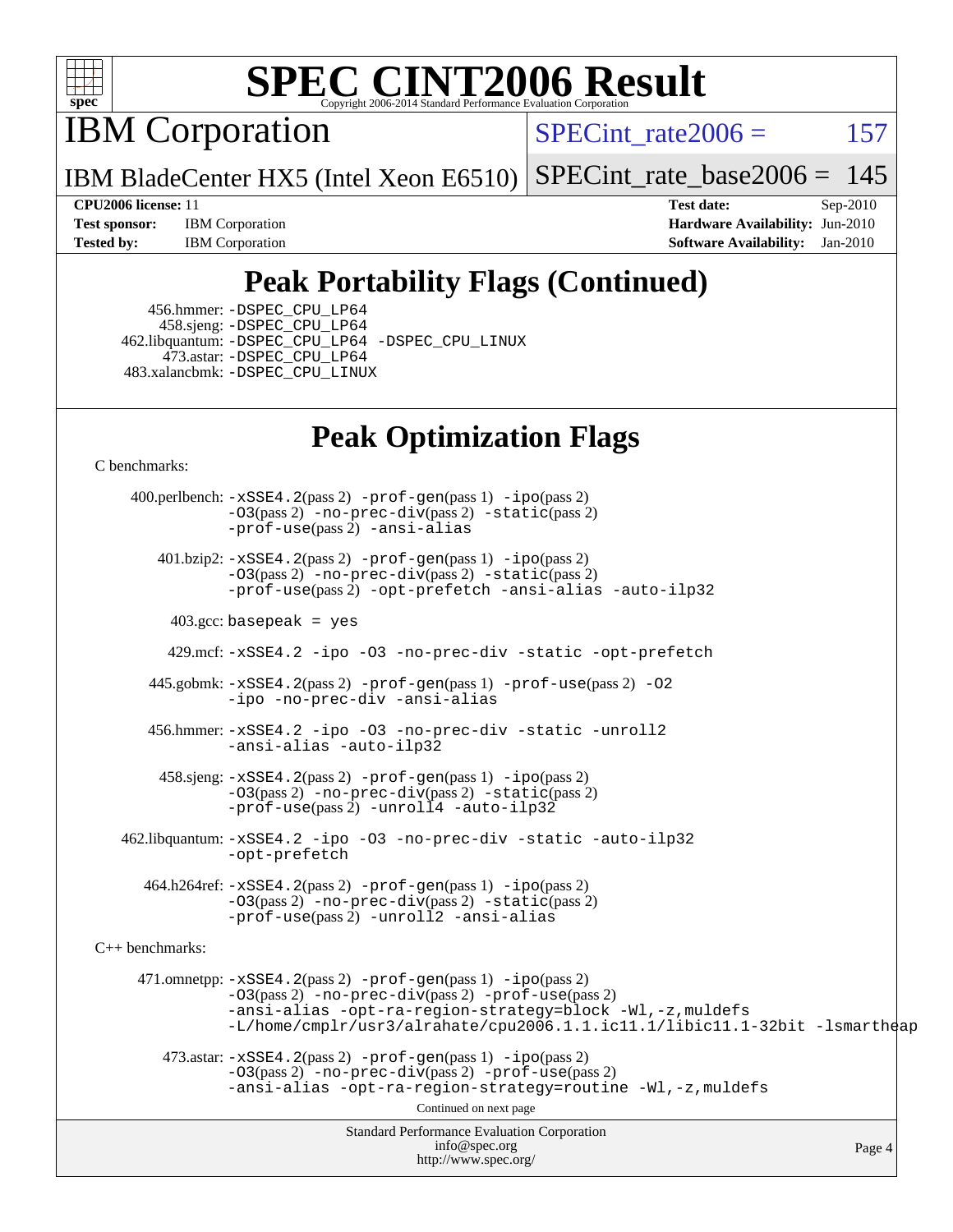

IBM Corporation

SPECint rate $2006 = 157$ 

IBM BladeCenter HX5 (Intel Xeon E6510) [SPECint\\_rate\\_base2006 =](http://www.spec.org/auto/cpu2006/Docs/result-fields.html#SPECintratebase2006) 145

**[Test sponsor:](http://www.spec.org/auto/cpu2006/Docs/result-fields.html#Testsponsor)** IBM Corporation **[Hardware Availability:](http://www.spec.org/auto/cpu2006/Docs/result-fields.html#HardwareAvailability)** Jun-2010 **[Tested by:](http://www.spec.org/auto/cpu2006/Docs/result-fields.html#Testedby)** IBM Corporation **[Software Availability:](http://www.spec.org/auto/cpu2006/Docs/result-fields.html#SoftwareAvailability)** Jan-2010

**[CPU2006 license:](http://www.spec.org/auto/cpu2006/Docs/result-fields.html#CPU2006license)** 11 **[Test date:](http://www.spec.org/auto/cpu2006/Docs/result-fields.html#Testdate)** Sep-2010

## **[Peak Portability Flags \(Continued\)](http://www.spec.org/auto/cpu2006/Docs/result-fields.html#PeakPortabilityFlags)**

 456.hmmer: [-DSPEC\\_CPU\\_LP64](http://www.spec.org/cpu2006/results/res2010q3/cpu2006-20100914-13293.flags.html#suite_peakCPORTABILITY456_hmmer_DSPEC_CPU_LP64) 458.sjeng: [-DSPEC\\_CPU\\_LP64](http://www.spec.org/cpu2006/results/res2010q3/cpu2006-20100914-13293.flags.html#suite_peakCPORTABILITY458_sjeng_DSPEC_CPU_LP64) 462.libquantum: [-DSPEC\\_CPU\\_LP64](http://www.spec.org/cpu2006/results/res2010q3/cpu2006-20100914-13293.flags.html#suite_peakCPORTABILITY462_libquantum_DSPEC_CPU_LP64) [-DSPEC\\_CPU\\_LINUX](http://www.spec.org/cpu2006/results/res2010q3/cpu2006-20100914-13293.flags.html#b462.libquantum_peakCPORTABILITY_DSPEC_CPU_LINUX) 473.astar: [-DSPEC\\_CPU\\_LP64](http://www.spec.org/cpu2006/results/res2010q3/cpu2006-20100914-13293.flags.html#suite_peakCXXPORTABILITY473_astar_DSPEC_CPU_LP64) 483.xalancbmk: [-DSPEC\\_CPU\\_LINUX](http://www.spec.org/cpu2006/results/res2010q3/cpu2006-20100914-13293.flags.html#b483.xalancbmk_peakCXXPORTABILITY_DSPEC_CPU_LINUX)

## **[Peak Optimization Flags](http://www.spec.org/auto/cpu2006/Docs/result-fields.html#PeakOptimizationFlags)**

[C benchmarks](http://www.spec.org/auto/cpu2006/Docs/result-fields.html#Cbenchmarks):

Standard Performance Evaluation Corporation [info@spec.org](mailto:info@spec.org) <http://www.spec.org/> Page 4 400.perlbench: [-xSSE4.2](http://www.spec.org/cpu2006/results/res2010q3/cpu2006-20100914-13293.flags.html#user_peakPASS2_CFLAGSPASS2_LDCFLAGS400_perlbench_f-xSSE42_f91528193cf0b216347adb8b939d4107)(pass 2) [-prof-gen](http://www.spec.org/cpu2006/results/res2010q3/cpu2006-20100914-13293.flags.html#user_peakPASS1_CFLAGSPASS1_LDCFLAGS400_perlbench_prof_gen_e43856698f6ca7b7e442dfd80e94a8fc)(pass 1) [-ipo](http://www.spec.org/cpu2006/results/res2010q3/cpu2006-20100914-13293.flags.html#user_peakPASS2_CFLAGSPASS2_LDCFLAGS400_perlbench_f-ipo)(pass 2) [-O3](http://www.spec.org/cpu2006/results/res2010q3/cpu2006-20100914-13293.flags.html#user_peakPASS2_CFLAGSPASS2_LDCFLAGS400_perlbench_f-O3)(pass 2) [-no-prec-div](http://www.spec.org/cpu2006/results/res2010q3/cpu2006-20100914-13293.flags.html#user_peakPASS2_CFLAGSPASS2_LDCFLAGS400_perlbench_f-no-prec-div)(pass 2) [-static](http://www.spec.org/cpu2006/results/res2010q3/cpu2006-20100914-13293.flags.html#user_peakPASS2_CFLAGSPASS2_LDCFLAGS400_perlbench_f-static)(pass 2) [-prof-use](http://www.spec.org/cpu2006/results/res2010q3/cpu2006-20100914-13293.flags.html#user_peakPASS2_CFLAGSPASS2_LDCFLAGS400_perlbench_prof_use_bccf7792157ff70d64e32fe3e1250b55)(pass 2) [-ansi-alias](http://www.spec.org/cpu2006/results/res2010q3/cpu2006-20100914-13293.flags.html#user_peakCOPTIMIZE400_perlbench_f-ansi-alias) 401.bzip2: [-xSSE4.2](http://www.spec.org/cpu2006/results/res2010q3/cpu2006-20100914-13293.flags.html#user_peakPASS2_CFLAGSPASS2_LDCFLAGS401_bzip2_f-xSSE42_f91528193cf0b216347adb8b939d4107)(pass 2) [-prof-gen](http://www.spec.org/cpu2006/results/res2010q3/cpu2006-20100914-13293.flags.html#user_peakPASS1_CFLAGSPASS1_LDCFLAGS401_bzip2_prof_gen_e43856698f6ca7b7e442dfd80e94a8fc)(pass 1) [-ipo](http://www.spec.org/cpu2006/results/res2010q3/cpu2006-20100914-13293.flags.html#user_peakPASS2_CFLAGSPASS2_LDCFLAGS401_bzip2_f-ipo)(pass 2) [-O3](http://www.spec.org/cpu2006/results/res2010q3/cpu2006-20100914-13293.flags.html#user_peakPASS2_CFLAGSPASS2_LDCFLAGS401_bzip2_f-O3)(pass 2) [-no-prec-div](http://www.spec.org/cpu2006/results/res2010q3/cpu2006-20100914-13293.flags.html#user_peakPASS2_CFLAGSPASS2_LDCFLAGS401_bzip2_f-no-prec-div)(pass 2) [-static](http://www.spec.org/cpu2006/results/res2010q3/cpu2006-20100914-13293.flags.html#user_peakPASS2_CFLAGSPASS2_LDCFLAGS401_bzip2_f-static)(pass 2) [-prof-use](http://www.spec.org/cpu2006/results/res2010q3/cpu2006-20100914-13293.flags.html#user_peakPASS2_CFLAGSPASS2_LDCFLAGS401_bzip2_prof_use_bccf7792157ff70d64e32fe3e1250b55)(pass 2) [-opt-prefetch](http://www.spec.org/cpu2006/results/res2010q3/cpu2006-20100914-13293.flags.html#user_peakCOPTIMIZE401_bzip2_f-opt-prefetch) [-ansi-alias](http://www.spec.org/cpu2006/results/res2010q3/cpu2006-20100914-13293.flags.html#user_peakCOPTIMIZE401_bzip2_f-ansi-alias) [-auto-ilp32](http://www.spec.org/cpu2006/results/res2010q3/cpu2006-20100914-13293.flags.html#user_peakCOPTIMIZE401_bzip2_f-auto-ilp32)  $403.\text{gcc: basepeak}$  = yes 429.mcf: [-xSSE4.2](http://www.spec.org/cpu2006/results/res2010q3/cpu2006-20100914-13293.flags.html#user_peakCOPTIMIZE429_mcf_f-xSSE42_f91528193cf0b216347adb8b939d4107) [-ipo](http://www.spec.org/cpu2006/results/res2010q3/cpu2006-20100914-13293.flags.html#user_peakCOPTIMIZE429_mcf_f-ipo) [-O3](http://www.spec.org/cpu2006/results/res2010q3/cpu2006-20100914-13293.flags.html#user_peakCOPTIMIZE429_mcf_f-O3) [-no-prec-div](http://www.spec.org/cpu2006/results/res2010q3/cpu2006-20100914-13293.flags.html#user_peakCOPTIMIZE429_mcf_f-no-prec-div) [-static](http://www.spec.org/cpu2006/results/res2010q3/cpu2006-20100914-13293.flags.html#user_peakCOPTIMIZE429_mcf_f-static) [-opt-prefetch](http://www.spec.org/cpu2006/results/res2010q3/cpu2006-20100914-13293.flags.html#user_peakCOPTIMIZE429_mcf_f-opt-prefetch) 445.gobmk: [-xSSE4.2](http://www.spec.org/cpu2006/results/res2010q3/cpu2006-20100914-13293.flags.html#user_peakPASS2_CFLAGSPASS2_LDCFLAGS445_gobmk_f-xSSE42_f91528193cf0b216347adb8b939d4107)(pass 2) [-prof-gen](http://www.spec.org/cpu2006/results/res2010q3/cpu2006-20100914-13293.flags.html#user_peakPASS1_CFLAGSPASS1_LDCFLAGS445_gobmk_prof_gen_e43856698f6ca7b7e442dfd80e94a8fc)(pass 1) [-prof-use](http://www.spec.org/cpu2006/results/res2010q3/cpu2006-20100914-13293.flags.html#user_peakPASS2_CFLAGSPASS2_LDCFLAGS445_gobmk_prof_use_bccf7792157ff70d64e32fe3e1250b55)(pass 2) [-O2](http://www.spec.org/cpu2006/results/res2010q3/cpu2006-20100914-13293.flags.html#user_peakCOPTIMIZE445_gobmk_f-O2) [-ipo](http://www.spec.org/cpu2006/results/res2010q3/cpu2006-20100914-13293.flags.html#user_peakCOPTIMIZE445_gobmk_f-ipo) [-no-prec-div](http://www.spec.org/cpu2006/results/res2010q3/cpu2006-20100914-13293.flags.html#user_peakCOPTIMIZE445_gobmk_f-no-prec-div) [-ansi-alias](http://www.spec.org/cpu2006/results/res2010q3/cpu2006-20100914-13293.flags.html#user_peakCOPTIMIZE445_gobmk_f-ansi-alias) 456.hmmer: [-xSSE4.2](http://www.spec.org/cpu2006/results/res2010q3/cpu2006-20100914-13293.flags.html#user_peakCOPTIMIZE456_hmmer_f-xSSE42_f91528193cf0b216347adb8b939d4107) [-ipo](http://www.spec.org/cpu2006/results/res2010q3/cpu2006-20100914-13293.flags.html#user_peakCOPTIMIZE456_hmmer_f-ipo) [-O3](http://www.spec.org/cpu2006/results/res2010q3/cpu2006-20100914-13293.flags.html#user_peakCOPTIMIZE456_hmmer_f-O3) [-no-prec-div](http://www.spec.org/cpu2006/results/res2010q3/cpu2006-20100914-13293.flags.html#user_peakCOPTIMIZE456_hmmer_f-no-prec-div) [-static](http://www.spec.org/cpu2006/results/res2010q3/cpu2006-20100914-13293.flags.html#user_peakCOPTIMIZE456_hmmer_f-static) [-unroll2](http://www.spec.org/cpu2006/results/res2010q3/cpu2006-20100914-13293.flags.html#user_peakCOPTIMIZE456_hmmer_f-unroll_784dae83bebfb236979b41d2422d7ec2) [-ansi-alias](http://www.spec.org/cpu2006/results/res2010q3/cpu2006-20100914-13293.flags.html#user_peakCOPTIMIZE456_hmmer_f-ansi-alias) [-auto-ilp32](http://www.spec.org/cpu2006/results/res2010q3/cpu2006-20100914-13293.flags.html#user_peakCOPTIMIZE456_hmmer_f-auto-ilp32) 458.sjeng: [-xSSE4.2](http://www.spec.org/cpu2006/results/res2010q3/cpu2006-20100914-13293.flags.html#user_peakPASS2_CFLAGSPASS2_LDCFLAGS458_sjeng_f-xSSE42_f91528193cf0b216347adb8b939d4107)(pass 2) [-prof-gen](http://www.spec.org/cpu2006/results/res2010q3/cpu2006-20100914-13293.flags.html#user_peakPASS1_CFLAGSPASS1_LDCFLAGS458_sjeng_prof_gen_e43856698f6ca7b7e442dfd80e94a8fc)(pass 1) [-ipo](http://www.spec.org/cpu2006/results/res2010q3/cpu2006-20100914-13293.flags.html#user_peakPASS2_CFLAGSPASS2_LDCFLAGS458_sjeng_f-ipo)(pass 2) [-O3](http://www.spec.org/cpu2006/results/res2010q3/cpu2006-20100914-13293.flags.html#user_peakPASS2_CFLAGSPASS2_LDCFLAGS458_sjeng_f-O3)(pass 2) [-no-prec-div](http://www.spec.org/cpu2006/results/res2010q3/cpu2006-20100914-13293.flags.html#user_peakPASS2_CFLAGSPASS2_LDCFLAGS458_sjeng_f-no-prec-div)(pass 2) [-static](http://www.spec.org/cpu2006/results/res2010q3/cpu2006-20100914-13293.flags.html#user_peakPASS2_CFLAGSPASS2_LDCFLAGS458_sjeng_f-static)(pass 2) [-prof-use](http://www.spec.org/cpu2006/results/res2010q3/cpu2006-20100914-13293.flags.html#user_peakPASS2_CFLAGSPASS2_LDCFLAGS458_sjeng_prof_use_bccf7792157ff70d64e32fe3e1250b55)(pass 2) [-unroll4](http://www.spec.org/cpu2006/results/res2010q3/cpu2006-20100914-13293.flags.html#user_peakCOPTIMIZE458_sjeng_f-unroll_4e5e4ed65b7fd20bdcd365bec371b81f) [-auto-ilp32](http://www.spec.org/cpu2006/results/res2010q3/cpu2006-20100914-13293.flags.html#user_peakCOPTIMIZE458_sjeng_f-auto-ilp32) 462.libquantum: [-xSSE4.2](http://www.spec.org/cpu2006/results/res2010q3/cpu2006-20100914-13293.flags.html#user_peakCOPTIMIZE462_libquantum_f-xSSE42_f91528193cf0b216347adb8b939d4107) [-ipo](http://www.spec.org/cpu2006/results/res2010q3/cpu2006-20100914-13293.flags.html#user_peakCOPTIMIZE462_libquantum_f-ipo) [-O3](http://www.spec.org/cpu2006/results/res2010q3/cpu2006-20100914-13293.flags.html#user_peakCOPTIMIZE462_libquantum_f-O3) [-no-prec-div](http://www.spec.org/cpu2006/results/res2010q3/cpu2006-20100914-13293.flags.html#user_peakCOPTIMIZE462_libquantum_f-no-prec-div) [-static](http://www.spec.org/cpu2006/results/res2010q3/cpu2006-20100914-13293.flags.html#user_peakCOPTIMIZE462_libquantum_f-static) [-auto-ilp32](http://www.spec.org/cpu2006/results/res2010q3/cpu2006-20100914-13293.flags.html#user_peakCOPTIMIZE462_libquantum_f-auto-ilp32) [-opt-prefetch](http://www.spec.org/cpu2006/results/res2010q3/cpu2006-20100914-13293.flags.html#user_peakCOPTIMIZE462_libquantum_f-opt-prefetch) 464.h264ref: [-xSSE4.2](http://www.spec.org/cpu2006/results/res2010q3/cpu2006-20100914-13293.flags.html#user_peakPASS2_CFLAGSPASS2_LDCFLAGS464_h264ref_f-xSSE42_f91528193cf0b216347adb8b939d4107)(pass 2) [-prof-gen](http://www.spec.org/cpu2006/results/res2010q3/cpu2006-20100914-13293.flags.html#user_peakPASS1_CFLAGSPASS1_LDCFLAGS464_h264ref_prof_gen_e43856698f6ca7b7e442dfd80e94a8fc)(pass 1) [-ipo](http://www.spec.org/cpu2006/results/res2010q3/cpu2006-20100914-13293.flags.html#user_peakPASS2_CFLAGSPASS2_LDCFLAGS464_h264ref_f-ipo)(pass 2) [-O3](http://www.spec.org/cpu2006/results/res2010q3/cpu2006-20100914-13293.flags.html#user_peakPASS2_CFLAGSPASS2_LDCFLAGS464_h264ref_f-O3)(pass 2) [-no-prec-div](http://www.spec.org/cpu2006/results/res2010q3/cpu2006-20100914-13293.flags.html#user_peakPASS2_CFLAGSPASS2_LDCFLAGS464_h264ref_f-no-prec-div)(pass 2) [-static](http://www.spec.org/cpu2006/results/res2010q3/cpu2006-20100914-13293.flags.html#user_peakPASS2_CFLAGSPASS2_LDCFLAGS464_h264ref_f-static)(pass 2) [-prof-use](http://www.spec.org/cpu2006/results/res2010q3/cpu2006-20100914-13293.flags.html#user_peakPASS2_CFLAGSPASS2_LDCFLAGS464_h264ref_prof_use_bccf7792157ff70d64e32fe3e1250b55)(pass 2) [-unroll2](http://www.spec.org/cpu2006/results/res2010q3/cpu2006-20100914-13293.flags.html#user_peakCOPTIMIZE464_h264ref_f-unroll_784dae83bebfb236979b41d2422d7ec2) [-ansi-alias](http://www.spec.org/cpu2006/results/res2010q3/cpu2006-20100914-13293.flags.html#user_peakCOPTIMIZE464_h264ref_f-ansi-alias) [C++ benchmarks:](http://www.spec.org/auto/cpu2006/Docs/result-fields.html#CXXbenchmarks) 471.omnetpp: [-xSSE4.2](http://www.spec.org/cpu2006/results/res2010q3/cpu2006-20100914-13293.flags.html#user_peakPASS2_CXXFLAGSPASS2_LDCXXFLAGS471_omnetpp_f-xSSE42_f91528193cf0b216347adb8b939d4107)(pass 2) [-prof-gen](http://www.spec.org/cpu2006/results/res2010q3/cpu2006-20100914-13293.flags.html#user_peakPASS1_CXXFLAGSPASS1_LDCXXFLAGS471_omnetpp_prof_gen_e43856698f6ca7b7e442dfd80e94a8fc)(pass 1) [-ipo](http://www.spec.org/cpu2006/results/res2010q3/cpu2006-20100914-13293.flags.html#user_peakPASS2_CXXFLAGSPASS2_LDCXXFLAGS471_omnetpp_f-ipo)(pass 2) [-O3](http://www.spec.org/cpu2006/results/res2010q3/cpu2006-20100914-13293.flags.html#user_peakPASS2_CXXFLAGSPASS2_LDCXXFLAGS471_omnetpp_f-O3)(pass 2) [-no-prec-div](http://www.spec.org/cpu2006/results/res2010q3/cpu2006-20100914-13293.flags.html#user_peakPASS2_CXXFLAGSPASS2_LDCXXFLAGS471_omnetpp_f-no-prec-div)(pass 2) [-prof-use](http://www.spec.org/cpu2006/results/res2010q3/cpu2006-20100914-13293.flags.html#user_peakPASS2_CXXFLAGSPASS2_LDCXXFLAGS471_omnetpp_prof_use_bccf7792157ff70d64e32fe3e1250b55)(pass 2) [-ansi-alias](http://www.spec.org/cpu2006/results/res2010q3/cpu2006-20100914-13293.flags.html#user_peakCXXOPTIMIZE471_omnetpp_f-ansi-alias) [-opt-ra-region-strategy=block](http://www.spec.org/cpu2006/results/res2010q3/cpu2006-20100914-13293.flags.html#user_peakCXXOPTIMIZE471_omnetpp_f-opt-ra-region-strategy-block_a0a37c372d03933b2a18d4af463c1f69) [-Wl,-z,muldefs](http://www.spec.org/cpu2006/results/res2010q3/cpu2006-20100914-13293.flags.html#user_peakEXTRA_LDFLAGS471_omnetpp_link_force_multiple1_74079c344b956b9658436fd1b6dd3a8a) [-L/home/cmplr/usr3/alrahate/cpu2006.1.1.ic11.1/libic11.1-32bit -lsmartheap](http://www.spec.org/cpu2006/results/res2010q3/cpu2006-20100914-13293.flags.html#user_peakEXTRA_LIBS471_omnetpp_SmartHeap_d86dffe4a79b79ef8890d5cce17030c3)  $473.\text{astar: } -xSSE4$ .  $2(\text{pass 2})$   $-\text{prof-gen}(\text{pass 1})$   $-i\text{po}(\text{pass 2})$ [-O3](http://www.spec.org/cpu2006/results/res2010q3/cpu2006-20100914-13293.flags.html#user_peakPASS2_CXXFLAGSPASS2_LDCXXFLAGS473_astar_f-O3)(pass 2) [-no-prec-div](http://www.spec.org/cpu2006/results/res2010q3/cpu2006-20100914-13293.flags.html#user_peakPASS2_CXXFLAGSPASS2_LDCXXFLAGS473_astar_f-no-prec-div)(pass 2) [-prof-use](http://www.spec.org/cpu2006/results/res2010q3/cpu2006-20100914-13293.flags.html#user_peakPASS2_CXXFLAGSPASS2_LDCXXFLAGS473_astar_prof_use_bccf7792157ff70d64e32fe3e1250b55)(pass 2) [-ansi-alias](http://www.spec.org/cpu2006/results/res2010q3/cpu2006-20100914-13293.flags.html#user_peakCXXOPTIMIZE473_astar_f-ansi-alias) [-opt-ra-region-strategy=routine](http://www.spec.org/cpu2006/results/res2010q3/cpu2006-20100914-13293.flags.html#user_peakCXXOPTIMIZE473_astar_f-opt-ra-region-strategy-routine_ba086ea3b1d46a52e1238e2ca173ed44) [-Wl,-z,muldefs](http://www.spec.org/cpu2006/results/res2010q3/cpu2006-20100914-13293.flags.html#user_peakEXTRA_LDFLAGS473_astar_link_force_multiple1_74079c344b956b9658436fd1b6dd3a8a) Continued on next page